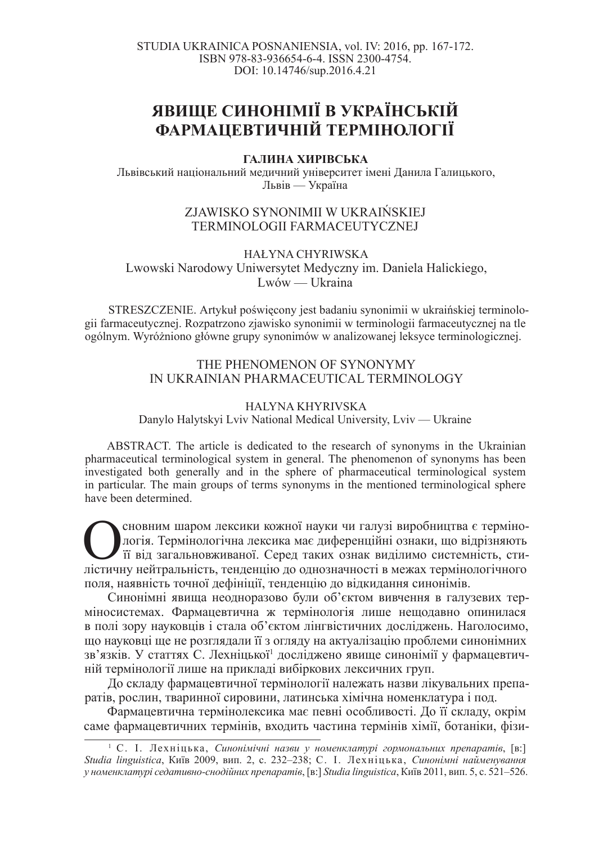STUDIA UKRAINICA POSNANIENSIA, vol. IV: 2016, pp. 167-172. ISBN 978-83-936654-6-4. ISSN 2300-4754. DOI: 10.14746/sup.2016.4.21

# **явище синонімії в українській ФАРМАЦЕВТИЧНІЙ ТЕРМІНОЛОГІЇ**

## ГАЛИНА ХИРІВСЬКА

Львівський національний медичний університет імені Данила Галицького, Львів — Україна

## ZJAWISKO SYNONIMII W UKRAIŃSKIEJ TERMINOLOGII FARMACEUTYCZNEJ

HAŁYNA CHYRIWSKA Lwowski Narodowy Uniwersytet Medyczny im. Daniela Halickiego, Lwów — Ukraina

STRESZCZENIE. Artykuł poświecony jest badaniu synonimii w ukraińskiej terminologii farmaceutycznej. Rozpatrzono zjawisko synonimii w terminologii farmaceutycznej na tle ogólnym. WyróĪniono gáówne grupy synonimów w analizowanej leksyce terminologicznej.

## THE PHENOMENON OF SYNONYMY IN UKRAINIAN PHARMACEUTICAL TERMINOLOGY

### HALYNA KHYRIVSKA Danylo Halytskyi Lviv National Medical University, Lviv — Ukraine

ABSTRACT. The article is dedicated to the research of synonyms in the Ukrainian pharmaceutical terminological system in general. The phenomenon of synonyms has been investigated both generally and in the sphere of pharmaceutical terminological system in particular. The main groups of terms synonyms in the mentioned terminological sphere have been determined.

**Оленним шаром лексики кожної науки чи галузі виробництва є термінологічна лексика має диференційні ознаки, що відрізняють** пістичну нейтральність, тенденцію до однозначності в межах термінологічного сновним шаром лексики кожної науки чи галузі виробництва є термінологія. Термінологічна лексика має диференційні ознаки, що відрізняють и на загальновживаної. Серед таких ознак виділимо системність, стиполя, наявність точної дефініції, тенденцію до відкидання синонімів.

Синонімні явища неодноразово були об'єктом вивчення в галузевих терміносистемах. Фармацевтична ж термінологія лише нещодавно опинилася в полі зору науковців і стала об'єктом лінгвістичних досліджень. Наголосимо, що науковці ще не розглядали її з огляду на актуалізацію проблеми синонімних зв'язків. У статтях С. Лехніцької<sup>1</sup> досліджено явище синонімії у фармацевтичній термінології лише на прикладі вибіркових лексичних груп.

До складу фармацевтичної термінології належать назви лікувальних препаратів, рослин, тваринної сировини, латинська хімічна номенклатура і под.

Фармацевтична термінолексика має певні особливості. До її складу, окрім саме фармацевтичних термінів, входить частина термінів хімії, ботаніки, фізи-

<sup>&</sup>lt;sup>1</sup> С. І. Лехніцька, Синонімічні назви у номенклатурі гормональних препаратів, [в:] Studia linguistica, Київ 2009, вип. 2, с. 232-238; С. І. Лехніцька, Синонімні найменування  $y$  номенклатурі седативно-снодійних препаратів, [в:] Studia linguistica, Київ 2011, вип. 5, с. 521–526.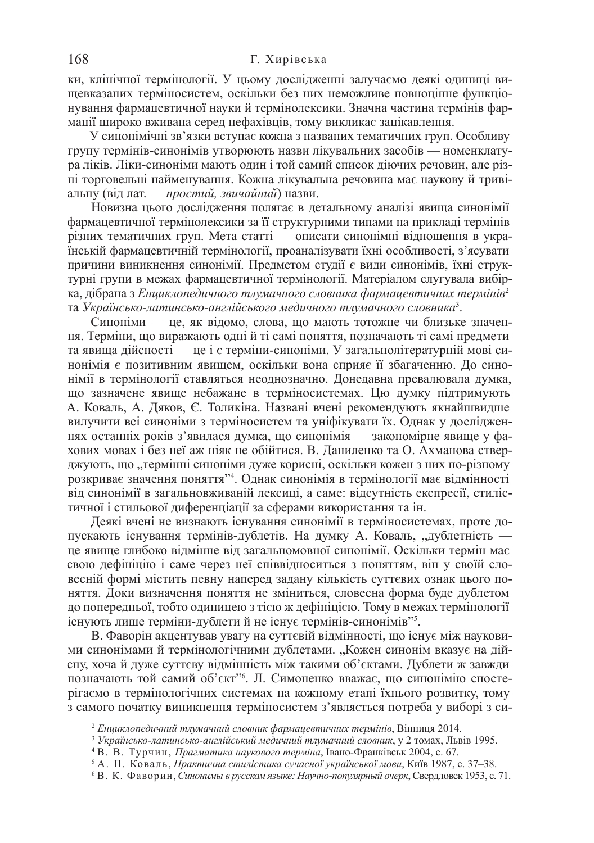#### 168 Г. Хирівська

ки, клінічної термінології. У цьому дослідженні залучаємо деякі одиниці вищевказаних терміносистем, оскільки без них неможливе повноцінне функціонування фармацевтичної науки й термінолексики. Значна частина термінів фармації широко вживана серед нефахівців, тому викликає зацікавлення.

У синонімічні зв'язки вступає кожна з названих тематичних груп. Особливу групу термінів-синонімів утворюють назви лікувальних засобів — номенклатура ліків. Ліки-синоніми мають один і той самий список діючих речовин, але різні торговельні найменування. Кожна лікувальна речовина має наукову й тривіальну (від лат. — простий, звичайний) назви.

Новизна цього дослідження полягає в детальному аналізі явища синонімії фармацевтичної термінолексики за її структурними типами на прикладі термінів різних тематичних груп. Мета статті — описати синонімні відношення в українській фармацевтичній термінології, проаналізувати їхні особливості, з'ясувати причини виникнення синонімії. Предметом студії є види синонімів, їхні структурні групи в межах фармацевтичної термінології. Матеріалом слугувала вибірка, дібрана з *Енциклопедичного тлумачного словника фармацевтичних термінів<sup>2</sup>* та Українсько-латинсько-англійського медичного тлумачного словника<sup>з</sup>.

Синоніми — це, як відомо, слова, що мають тотожне чи близьке значення. Терміни, що виражають одні й ті самі поняття, позначають ті самі предмети та явища дійсності — це і є терміни-синоніми. У загальнолітературній мові синонімія є позитивним явищем, оскільки вона сприяє її збагаченню. До синонімії в термінології ставляться неоднозначно. Донедавна превалювала думка, що зазначене явище небажане в терміносистемах. Цю думку підтримують А. Коваль, А. Дяков, Є. Толикіна. Названі вчені рекомендують якнайшвидше вилучити всі синоніми з терміносистем та уніфікувати їх. Однак у дослідженнях останніх років з'явилася думка, що синонімія — закономірне явище у фахових мовах і без неї аж ніяк не обійтися. В. Даниленко та О. Ахманова стверджують, що "термінні синоніми дуже корисні, оскільки кожен з них по-різному розкриває значення поняття"4. Однак синонімія в термінології має відмінності від синонімії в загальновживаній лексиці, а саме: відсутність експресії, стилістичної і стильової диференціації за сферами використання та ін.

Деякі вчені не визнають існування синонімії в терміносистемах, проте допускають існування термінів-дублетів. На думку А. Коваль, "дублетність це явище глибоко відмінне від загальномовної синонімії. Оскільки термін має свою дефініцію і саме через неї співвідноситься з поняттям, він у своїй словесній формі містить певну наперед задану кількість суттєвих ознак цього поняття. Доки визначення поняття не зміниться, словесна форма буде дублетом до попередньої, тобто одиницею з тією ж дефініцією. Тому в межах термінології існують лише терміни-дублети й не існує термінів-синонімів"5.

В. Фаворін акцентував увагу на суттєвій відмінності, що існує між науковими синонімами й термінологічними дублетами. "Кожен синонім вказує на дійсну, хоча й дуже суттєву відмінність між такими об'єктами. Дублети ж завжди позначають той самий об'єкт" б. Л. Симоненко вважає, що синонімію спостерігаємо в термінологічних системах на кожному етапі їхнього розвитку, тому з самого початку виникнення терміносистем з'являється потреба у виборі з си-

<sup>&</sup>lt;sup>2</sup> Енциклопедичний тлумачний словник фармацевтичних термінів, Вінниця 2014.

<sup>&</sup>lt;sup>3</sup> Українсько-латинсько-англійський медичний тлумачний словник, у 2 томах, Львів 1995.

<sup>&</sup>lt;sup>4</sup> В. В. Турчин, *Прагматика наукового терміна*, Івано-Франківськ 2004, с. 67.

<sup>&</sup>lt;sup>5</sup> А. П. Коваль, *Практична стилістика сучасної української мови*, Київ 1987, с. 37–38.

<sup>6</sup> ȼ. Ʉ. Ɏɚɜɨɪɢɧ, *ɋɢɧɨɧɢɦɵ ɜ ɪɭɫɫɤɨɦ ɹɡɵɤɟ: ɇɚɭɱɧɨ-ɩɨɩɭɥɹɪɧɵɣ ɨɱɟɪɤ*, ɋɜɟɪɞɥɨɜɫɤ 1953, ɫ. 71.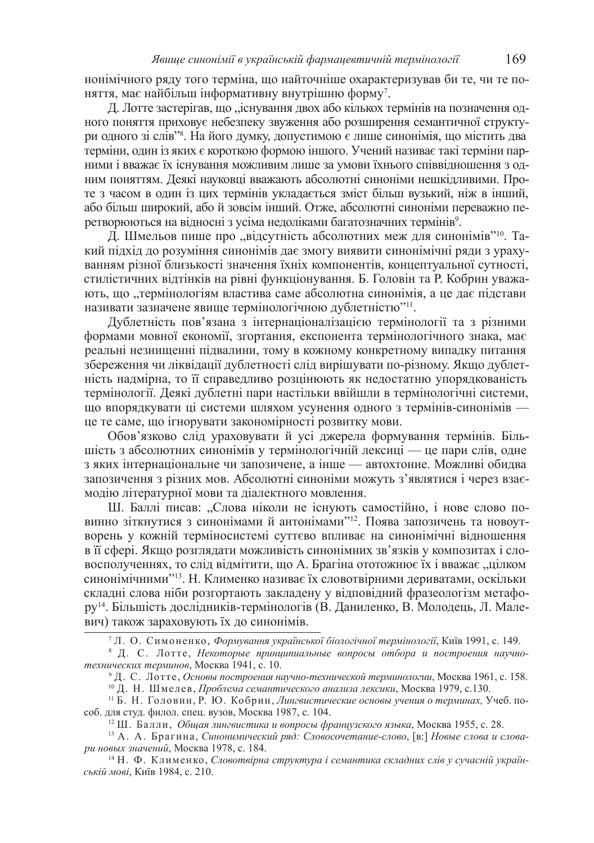нонімічного ряду того терміна, що найточніше охарактеризував би те, чи те поняття, має найбільш інформативну внутрішню форму<sup>7</sup>.

Д. Лотте застерігав, що "існування двох або кількох термінів на позначення одного поняття приховує небезпеку звуження або розширення семантичної структури одного зі слів<sup>28</sup>. На його думку, допустимою є лише синонімія, що містить два терміни, один із яких є короткою формою іншого. Учений називає такі терміни парними і вважає їх існування можливим лише за умови їхнього співвідношення з одним поняттям. Деякі науковці вважають абсолютні синоніми нешкідливими. Проте з часом в один із цих термінів укладається зміст більш вузький, ніж в інший, або більш широкий, або й зовсім інший. Отже, абсолютні синоніми переважно перетворюються на відносні з усіма недоліками багатозначних термінів<sup>9</sup>.

Д. Шмельов пише про "відсутність абсолютних меж для синонімів"<sup>10</sup>. Такий підхід до розуміння синонімів дає змогу виявити синонімічні ряди з урахуванням різної близькості значення їхніх компонентів, концептуальної сутності, стилістичних відтінків на рівні функціонування. Б. Головін та Р. Кобрин уважають, що "термінологіям властива саме абсолютна синонімія, а це дає підстави називати зазначене явище термінологічною дублетністю"<sup>11</sup>.

Дублетність пов'язана з інтернаціоналізацією термінології та з різними формами мовної економії, згортання, експонента термінологічного знака, має реальні незнищенні підвалини, тому в кожному конкретному випадку питання збереження чи ліквідації дублетності слід вирішувати по-різному. Якщо дублетність надмірна, то її справедливо розцінюють як недостатню упорядкованість термінології. Деякі дублетні пари настільки ввійшли в термінологічні системи, що впорядкувати ці системи шляхом усунення одного з термінів-синонімів це те саме, що ігнорувати закономірності розвитку мови.

Обов'язково слід ураховувати й усі джерела формування термінів. Більшість з абсолютних синонімів у термінологічній лексиці — це пари слів, одне з яких інтернаціональне чи запозичене, а інше — автохтонне. Можливі обидва запозичення з різних мов. Абсолютні синоніми можуть з'являтися і через взаємодію літературної мови та діалектного мовлення.

Ш. Баллі писав: "Слова ніколи не існують самостійно, і нове слово повинно зіткнутися з синонімами й антонімами"<sup>12</sup>. Поява запозичень та новоутворень у кожній терміносистемі суттєво впливає на синонімічні відношення в її сфері. Якщо розглядати можливість синонімних зв'язків у композитах і словосполученнях, то слід відмітити, що А. Брагіна ототожнює їх і вважає "цілком синонімічними"<sup>13</sup>. Н. Клименко називає їх словотвірними дериватами, оскільки складні слова ніби розгортають закладену у відповідний фразеологізм метафору<sup>14</sup>. Більшість дослідників-термінологів (В. Даниленко, В. Молодець, Л. Малевич) також зараховують їх до синонімів.

<sup>&</sup>lt;sup>7</sup> Л. О. Симоненко, Формування української біологічної термінології, Київ 1991, с. 149.

<sup>&</sup>lt;sup>8</sup> Д. С. Лотте, Некоторые принципиальные вопросы отбора и построения научнотехнических терминов, Москва 1941, с. 10.

<sup>&</sup>lt;sup>9</sup> Д. С. Лотте, Основы построения научно-технической терминологии, Москва 1961, с. 158.

<sup>&</sup>lt;sup>10</sup> Д. Н. Шмелев, *Проблема семантического анализа лексики*, Москва 1979, с.130.

<sup>&</sup>lt;sup>11</sup> Б. Н. Головин, Р. Ю. Кобрин, Лингвистические основы учения о терминах, Учеб. пособ. для студ. филол. спец. вузов. Москва 1987, с. 104.

<sup>&</sup>lt;sup>12</sup> Ш. Балли, *Общая лингвистика и вопросы французского языка*, Москва 1955, с. 28.

<sup>&</sup>lt;sup>13</sup> А. А. Брагина, Синонимический ряд: Словосочетание-слово, [в:] Новые слова и словари новых значений, Москва 1978, с. 184.

<sup>&</sup>lt;sup>14</sup> Н. Ф. Клименко, *Словотвірна структура і семантика складних слів у сучасній україн*ській мові, Київ 1984, с. 210.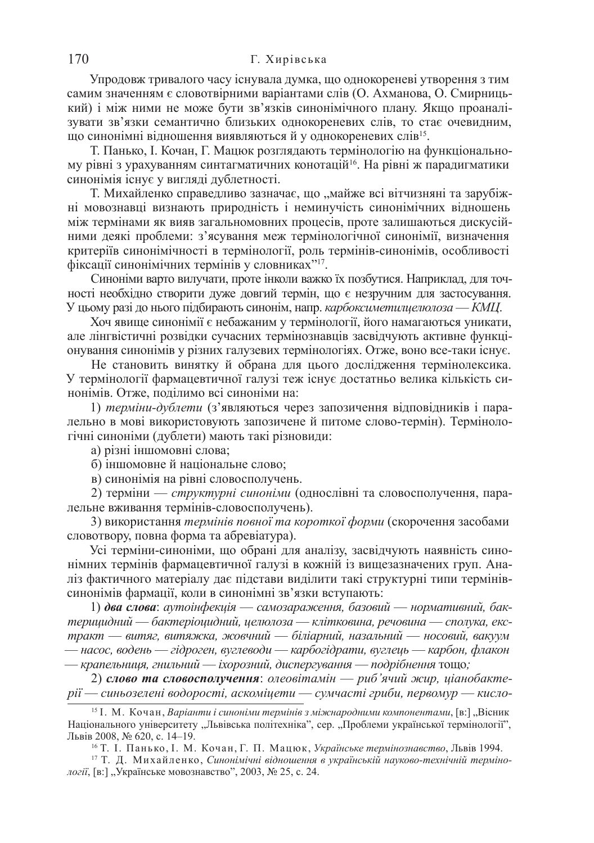#### 170 Г. Хирівська

Упродовж тривалого часу існувала думка, що однокореневі утворення з тим самим значенням є словотвірними варіантами слів (О. Ахманова, О. Смирницький) і між ними не може бути зв'язків синонімічного плану. Якщо проаналізувати зв'язки семантично близьких однокореневих слів, то стає очевидним, що синонімні відношення виявляються й у однокореневих слів<sup>15</sup>.

Т. Панько, І. Кочан, Г. Мацюк розглядають термінологію на функціональному рівні з урахуванням синтагматичних конотацій<sup>16</sup>. На рівні ж парадигматики синонімія існує у вигляді дублетності.

Т. Михайленко справедливо зазначає, що "майже всі вітчизняні та зарубіжні мовознавці визнають природність і неминучість синонімічних відношень між термінами як вияв загальномовних процесів, проте залишаються дискусійними деякі проблеми: з'ясування меж термінологічної синонімії, визначення критеріїв синонімічності в термінології, роль термінів-синонімів, особливості фіксації синонімічних термінів у словниках"<sup>17</sup>.

Синоніми варто вилучати, проте інколи важко їх позбутися. Наприклад, для точності необхідно створити дуже довгий термін, що є незручним для застосування. У цьому разі до нього підбирають синонім, напр. *карбоксиметилиелюлоза* — *КМЦ*.

Хоч явище синонімії є небажаним у термінології, його намагаються уникати, але лінгвістичні розвідки сучасних термінознавців засвідчують активне функціонування синонімів у різних галузевих термінологіях. Отже, воно все-таки існує.

Не становить винятку й обрана для цього дослідження термінолексика. У термінології фармацевтичної галузі теж існує достатньо велика кількість синонімів. Отже, поділимо всі синоніми на:

1) терміни-дублети (з'являються через запозичення відповідників і паралельно в мові використовують запозичене й питоме слово-термін). Термінологічні синоніми (дублети) мають такі різновиди:

а) різні іншомовні слова;

б) іншомовне й національне слово;

в) синонімія на рівні словосполучень.

2) терміни — *структурні синоніми* (однослівні та словосполучення, паралельне вживання термінів-словосполучень).

3) використання термінів повної та короткої форми (скорочення засобами словотвору, повна форма та абревіатура).

Усі терміни-синоніми, що обрані для аналізу, засвідчують наявність синонімних термінів фармацевтичної галузі в кожній із вищезазначених груп. Аналіз фактичного матеріалу дає підстави виділити такі структурні типи термінівсинонімів фармації, коли в синонімні зв'язки вступають:

1) два слова: аутоінфекція — самозараження, базовий — нормативний, бак $m$ ерицидний — бактеріоцидний, целюлоза — клітковина, речовина — сполука, екс $mpa$ кт — витяг, витяжка, жовчний — біліарний, назальний — носовий, вакуум — насос, водень — гідроген, вуглеводи — карбогідрати, вуглець — карбон, флакон — крапельниця, гнильний — іхорозний, диспергування — подрібнення тощо;

2) слово та словосполучення: олеовітамін — риб'ячий жир, ціанобакте $pi - c$ иньозелені водорості, аскоміцети — сумчасті гриби, первомур — кисло-

<sup>&</sup>lt;sup>15</sup> <sup>1</sup>. М. Кочан, *Варіанти і синоніми термінів з міжнародними компонентами*, [в:], "Вісник Національного університету "Львівська політехніка", сер. "Проблеми української термінології", Львів 2008, № 620, с. 14–19.

<sup>&</sup>lt;sup>16</sup> Т. І. Панько, І. М. Кочан, Г. П. Мацюк, Українське термінознавство, Львів 1994.

<sup>&</sup>lt;sup>17</sup> Т. Д. Михайленко, Синонімічні відношення в українській науково-технічній терміно*логії*, [в:] "Українське мовознавство", 2003, № 25, с. 24.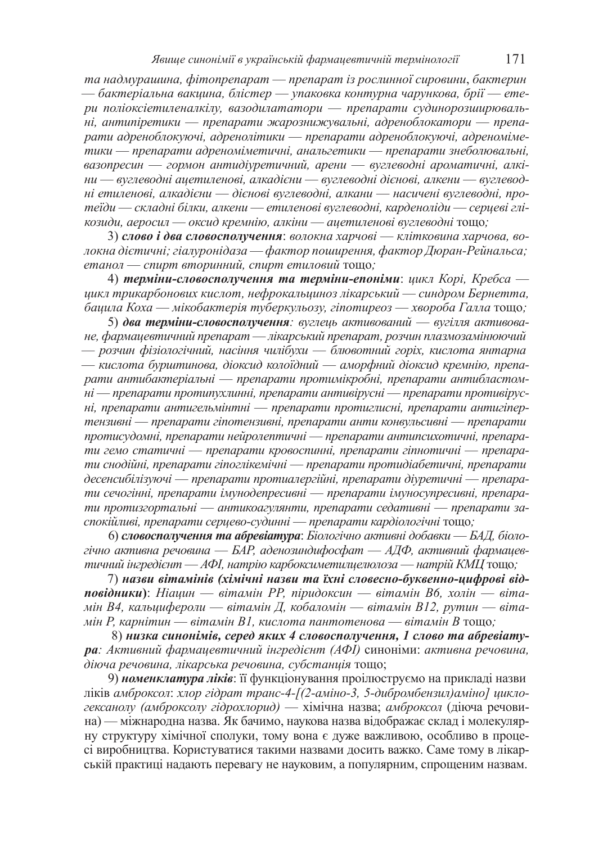та надмурашина, фітопрепарат — препарат із рослинної сировини, бактерин  $-$  бактеріальна вакцина, блістер — упаковка контурна чарункова, брії — етери поліоксіетиленалкілу, вазодилататори — препарати судинорозширюваль- $\overline{H}$ й, антипіретики — препарати жарознижувальні, адреноблокатори — препа $panu$  адреноблокуючі, адренолітики — препарати адреноблокуючі, адреноміметики — препарати адреноміметичні, анальгетики — препарати знеболювальні,  $\alpha$ вазопресин — гормон антидіуретичний, арени — вуглеводні ароматичні, алкі $hu$  — вуглеводні ацетиленові, алкадієни — вуглеводні дієнові, алкени — вуглевод- $\mu$ *и етиленові, алкадієни — дієнові вуглеводні, алкани — насичені вуглеводні, про* $m$ еїди — складні білки, алкени — етиленові вуглеводні, карденоліди — серцеві глі $x$ *козиди, аеросил* — оксид кремнію, алкіни — ацетиленові вуглеводні тощо;

3) слово *i* два словосполучення: волокна харчові — клітковина харчова, во- $\eta$ жна дієтичні; гіалуронідаза — фактор поширення, фактор Дюран-Рейнальса;  $emан$ *ол* — спирт вторинний, спирт етиловий тощо;

4) **терміни-словосполучення та терміни-епоніми**: цикл Корі, Кребса —  $\mu$ икл трикарбонових кислот, нефрокальшиноз лікарський — синдром Бернетта, *бацила Коха* — мікобактерія туберкульозу, гіпотиреоз — хвороба Галла тощо;

5) два терміни-словосполучення: вуглець активований — вугілля активова**не**, фармацевтичний препарат — лікарський препарат, розчин плазмозамінюючий  $-$  розчин фізіологічний, насіння чилібухи — блювотний горіх, кислота янтарна — кислота бурштинова, діоксид колоїдний — аморфний діоксид кремнію, препа $p$ ати антибактеріальні — препарати протимікробні, препарати антибластом- $\mu$ i — препарати протипухлинні, препарати антивірусні — препарати противірус*ні*, препарати антигельмінтні — препарати протиглисні, препарати антигіпертензивні — препарати гіпотензивні, препарати анти конвульсивні — препарати  $n$ ротисудомні, препарати нейролептичні — препарати антипсихотичні, препарати гемо статичні — препарати кровоспинні, препарати гіпнотичні — препара*ти снодійні, препарати гіпоглікемічні — препарати протидіабетичні, препарати*  $\delta$ есенсибілізуючі — препарати протиалергійні, препарати діуретичні — препарати сечогінні, препарати імунодепресивні — препарати імуносупресивні, препарати протизгортальні — антикоагулянти, препарати седативні — препарати заспокійливі, препарати серцево-судинні — препарати кардіологічні тощо;

6) словосполучення та абревіатура: Біологічно активні добавки — БАД, біоло- $\chi$ ічно активна речовина — БАР, аденозиндифосфат — АДФ, активний фармацевтичний інгредієнт — АФІ, натрію карбоксиметилцелюлоза — натрій КМЦ тощо;

7) назви вітамінів (хімічні назви та їхні словесно-буквенно-цифрові від**повідники**): Ніацин — вітамін РР, піридоксин — вітамін В6, холін — віта- $\ddot{x}$ *мін В4, кальцифероли — вітамін Д, кобаломін — вітамін В12, рутин — віта*- $M$ *iн*  $P$ , карнітин — вітамін B1, кислота пантотенова — вітамін В тощо;

8) низка синонімів, серед яких 4 словосполучення, 1 слово та абревіату $pa: A$ ктивний фармацевтичний інгредієнт (AФI) синоніми: активна речовина,  $\partial$ *iюча речовина, лікарська речовина, субстанція* тощо;

9) **номенклатура ліків**: її функціонування проілюструємо на прикладі назви піків амброксол: хлор гідрат транс-4-[(2-аміно-3, 5-дибромбензил) аміно] циклогексанолу (амброксолу гідрохлорид) — хімічна назва; амброксол (діюча речовина) — міжнародна назва. Як бачимо, наукова назва відображає склад і молекулярну структуру хімічної сполуки, тому вона є дуже важливою, особливо в процесі виробництва. Користуватися такими назвами досить важко. Саме тому в лікарській практиці надають перевагу не науковим, а популярним, спрощеним назвам.